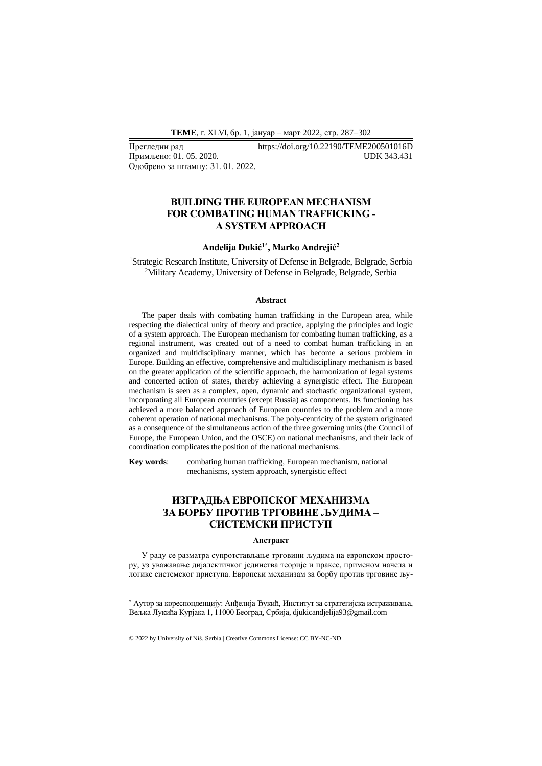**ТEME**, г. XLVI, бр. 1, јануар − март 2022, стр. 287−302

Примљено: 01. 05. 2020. Одобрено за штампу: 31. 01. 2022.

Прегледни рад https://doi.org/10.22190/TEME200501016D

# **BUILDING THE EUROPEAN MECHANISM FOR COMBATING HUMAN TRAFFICKING - A SYSTEM APPROACH**

### **Anđelija Đukić1\* , Marko Andrejić<sup>2</sup>**

<sup>1</sup>Strategic Research Institute, University of Defense in Belgrade, Belgrade, Serbia <sup>2</sup>Military Academy, University of Defense in Belgrade, Belgrade, Serbia

#### **Abstract**

The paper deals with combating human trafficking in the European area, while respecting the dialectical unity of theory and practice, applying the principles and logic of a system approach. The European mechanism for combating human trafficking, as a regional instrument, was created out of a need to combat human trafficking in an organized and multidisciplinary manner, which has become a serious problem in Europe. Building an effective, comprehensive and multidisciplinary mechanism is based on the greater application of the scientific approach, the harmonization of legal systems and concerted action of states, thereby achieving a synergistic effect. The European mechanism is seen as a complex, open, dynamic and stochastic organizational system, incorporating all European countries (except Russia) as components. Its functioning has achieved a more balanced approach of European countries to the problem and a more coherent operation of national mechanisms. The poly-centricity of the system originated as a consequence of the simultaneous action of the three governing units (the Council of Europe, the European Union, and the OSCE) on national mechanisms, and their lack of coordination complicates the position of the national mechanisms.

**Key words**: combating human trafficking, European mechanism, national mechanisms, system approach, synergistic effect

# **ИЗГРАДЊА ЕВРОПСКОГ МЕХАНИЗМА ЗА БОРБУ ПРОТИВ ТРГОВИНЕ ЉУДИМА – СИСТЕМСКИ ПРИСТУП**

#### **Апстракт**

У раду се разматра супротстављање трговини људима на европском простору, уз уважавање дијалектичког јединства теорије и праксе, применом начела и логике системског приступа. Европски механизам за борбу против трговине љу-

<sup>\*</sup> Аутор за кореспонденцију: Анђелија Ђукић, Институт за стратегијска истраживања, Вељка Лукића Курјака 1, 11000 Београд, Србија, djukicandjelija93@gmail.com

<sup>© 2022</sup> by University of Niš, Serbia | Creative Commons License: CC BY-NC-ND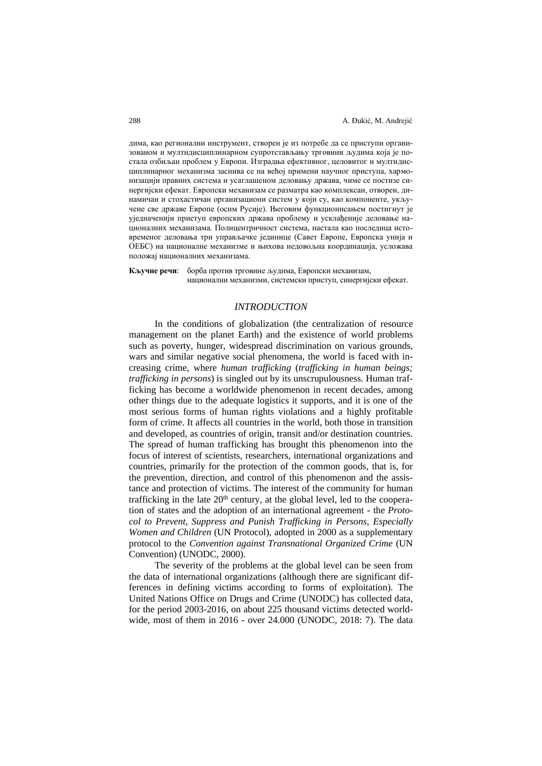дима, као регионални инструмент, створен је из потребе да се приступи организованом и мултидисциплинарном супротстављању трговини људима која је постала озбиљан проблем у Европи. Изградња ефективног, целовитог и мултидисциплинарног механизма заснива се на већој примени научног приступа, хармонизацији правних система и усаглашеном деловању држава, чиме се постизе синергијски ефекат. Европски механизам се разматра као комплексан, отворен, динамичан и стохастичан организациони систем у који су, као компоненте, укључене све државе Европе (осим Русије). Његовим функционисањем постигнут је уједначенији приступ европских држава проблему и усклађеније деловање националних механизама. Полицентричност система, настала као последица истовременог деловања три управљачке јединице (Савет Европе, Европска унија и ОЕБС) на националне механизме и њихова недовољна координација, усложава положај националних механизама.

**Кључне речи**: борба против трговине људима, Европски механизам, национални механизми, системски приступ, синергијски ефекат.

### *INTRODUCTION*

In the conditions of globalization (the centralization of resource management on the planet Earth) and the existence of world problems such as poverty, hunger, widespread discrimination on various grounds, wars and similar negative social phenomena, the world is faced with increasing crime, where *human trafficking* (*trafficking in human beings; trafficking in persons*) is singled out by its unscrupulousness. Human trafficking has become a worldwide phenomenon in recent decades, among other things due to the adequate logistics it supports, and it is one of the most serious forms of human rights violations and a highly profitable form of crime. It affects all countries in the world, both those in transition and developed, as countries of origin, transit and/or destination countries. The spread of human trafficking has brought this phenomenon into the focus of interest of scientists, researchers, international organizations and countries, primarily for the protection of the common goods, that is, for the prevention, direction, and control of this phenomenon and the assistance and protection of victims. The interest of the community for human trafficking in the late  $20<sup>th</sup>$  century, at the global level, led to the cooperation of states and the adoption of an international agreement - the *Protocol to Prevent, Suppress and Punish Trafficking in Persons, Especially Women and Children* (UN Protocol), adopted in 2000 as a supplementary protocol to the *Convention against Transnational Organized Crime* (UN Convention) (UNODC, 2000).

The severity of the problems at the global level can be seen from the data of international organizations (although there are significant differences in defining victims according to forms of exploitation). The United Nations Office on Drugs and Crime (UNODC) has collected data, for the period 2003-2016, on about 225 thousand victims detected worldwide, most of them in 2016 - over 24.000 (UNODC, 2018: 7). The data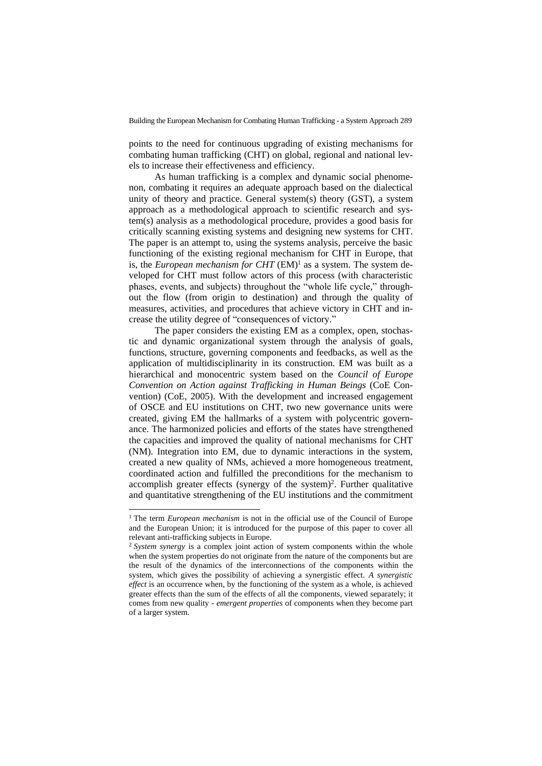points to the need for continuous upgrading of existing mechanisms for combating human trafficking (CHT) on global, regional and national levels to increase their effectiveness and efficiency.

As human trafficking is a complex and dynamic social phenomenon, combating it requires an adequate approach based on the dialectical unity of theory and practice. General system(s) theory (GST), a system approach as a methodological approach to scientific research and system(s) analysis as a methodological procedure, provides a good basis for critically scanning existing systems and designing new systems for CHT. The paper is an attempt to, using the systems analysis, perceive the basic functioning of the existing regional mechanism for CHT in Europe, that is, the *European mechanism for CHT*  $(EM)^1$  as a system. The system developed for CHT must follow actors of this process (with characteristic phases, events, and subjects) throughout the "whole life cycle," throughout the flow (from origin to destination) and through the quality of measures, activities, and procedures that achieve victory in CHT and increase the utility degree of "consequences of victory."

The paper considers the existing EM as a complex, open, stochastic and dynamic organizational system through the analysis of goals, functions, structure, governing components and feedbacks, as well as the application of multidisciplinarity in its construction. EM was built as a hierarchical and monocentric system based on the *Council of Europe Convention on Action against Trafficking in Human Beings* (CoE Convention) (CoE, 2005). With the development and increased engagement of OSCE and EU institutions on CHT, two new governance units were created, giving EM the hallmarks of a system with polycentric governance. The harmonized policies and efforts of the states have strengthened the capacities and improved the quality of national mechanisms for CHT (NM). Integration into EM, due to dynamic interactions in the system, created a new quality of NMs, achieved a more homogeneous treatment, coordinated action and fulfilled the preconditions for the mechanism to accomplish greater effects (synergy of the system)<sup>2</sup>. Further qualitative and quantitative strengthening of the EU institutions and the commitment

<sup>&</sup>lt;sup>1</sup> The term *European mechanism* is not in the official use of the Council of Europe and the European Union; it is introduced for the purpose of this paper to cover all relevant anti-trafficking subjects in Europe.

<sup>&</sup>lt;sup>2</sup> *System synergy* is a complex joint action of system components within the whole when the system properties do not originate from the nature of the components but are the result of the dynamics of the interconnections of the components within the system, which gives the possibility of achieving a synergistic effect. *A synergistic effect* is an occurrence when, by the functioning of the system as a whole, is achieved greater effects than the sum of the effects of all the components, viewed separately; it comes from new quality - *emergent properties* of components when they become part of a larger system.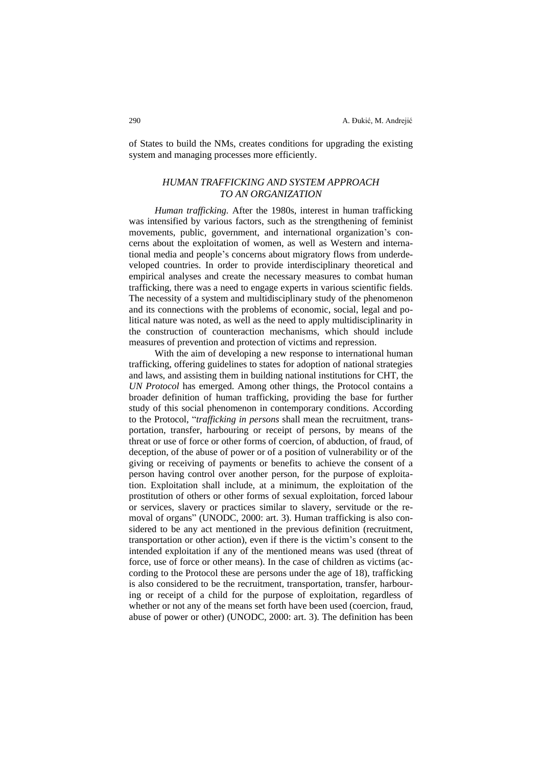of States to build the NMs, creates conditions for upgrading the existing system and managing processes more efficiently.

## *HUMAN TRAFFICKING AND SYSTEM APPROACH TO AN ORGANIZATION*

*Human trafficking.* After the 1980s, interest in human trafficking was intensified by various factors, such as the strengthening of feminist movements, public, government, and international organization's concerns about the exploitation of women, as well as Western and international media and people's concerns about migratory flows from underdeveloped countries. In order to provide interdisciplinary theoretical and empirical analyses and create the necessary measures to combat human trafficking, there was a need to engage experts in various scientific fields. The necessity of a system and multidisciplinary study of the phenomenon and its connections with the problems of economic, social, legal and political nature was noted, as well as the need to apply multidisciplinarity in the construction of counteraction mechanisms, which should include measures of prevention and protection of victims and repression.

With the aim of developing a new response to international human trafficking, offering guidelines to states for adoption of national strategies and laws, and assisting them in building national institutions for CHT, the *UN Protocol* has emerged. Among other things, the Protocol contains a broader definition of human trafficking, providing the base for further study of this social phenomenon in contemporary conditions. According to the Protocol, "*trafficking in persons* shall mean the recruitment, transportation, transfer, harbouring or receipt of persons, by means of the threat or use of force or other forms of coercion, of abduction, of fraud, of deception, of the abuse of power or of a position of vulnerability or of the giving or receiving of payments or benefits to achieve the consent of a person having control over another person, for the purpose of exploitation. Exploitation shall include, at a minimum, the exploitation of the prostitution of others or other forms of sexual exploitation, forced labour or services, slavery or practices similar to slavery, servitude or the removal of organs" (UNODC, 2000: art. 3). Human trafficking is also considered to be any act mentioned in the previous definition (recruitment, transportation or other action), even if there is the victim's consent to the intended exploitation if any of the mentioned means was used (threat of force, use of force or other means). In the case of children as victims (according to the Protocol these are persons under the age of 18), trafficking is also considered to be the recruitment, transportation, transfer, harbouring or receipt of a child for the purpose of exploitation, regardless of whether or not any of the means set forth have been used (coercion, fraud, abuse of power or other) (UNODC, 2000: art. 3). The definition has been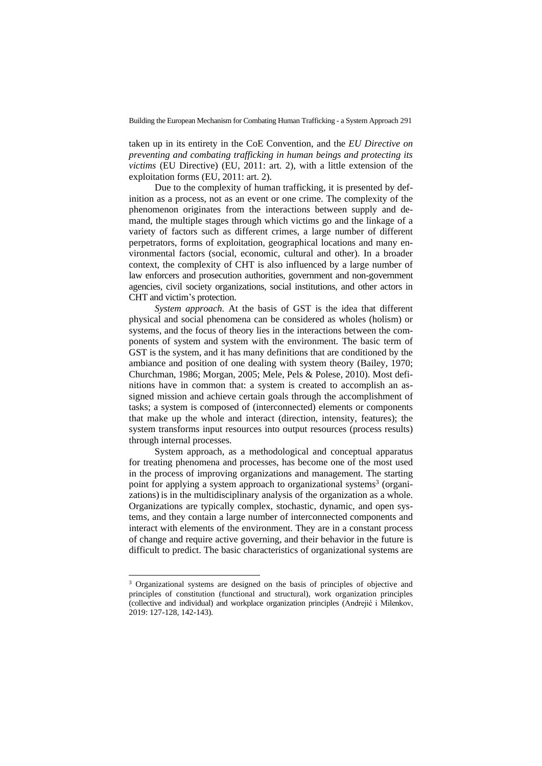taken up in its entirety in the CoE Convention, and the *EU Directive on preventing and combating trafficking in human beings and protecting its victims* (EU Directive) (EU, 2011: art. 2), with a little extension of the exploitation forms (EU, 2011: art. 2).

Due to the complexity of human trafficking, it is presented by definition as a process, not as an event or one crime. The complexity of the phenomenon originates from the interactions between supply and demand, the multiple stages through which victims go and the linkage of a variety of factors such as different crimes, a large number of different perpetrators, forms of exploitation, geographical locations and many environmental factors (social, economic, cultural and other). In a broader context, the complexity of CHT is also influenced by a large number of law enforcers and prosecution authorities, government and non-government agencies, civil society organizations, social institutions, and other actors in CHT and victim's protection.

*System approach.* At the basis of GST is the idea that different physical and social phenomena can be considered as wholes (holism) or systems, and the focus of theory lies in the interactions between the components of system and system with the environment. The basic term of GST is the system, and it has many definitions that are conditioned by the ambiance and position of one dealing with system theory (Bailey, 1970; Churchman, 1986; Morgan, 2005; Mele, Pels & Polese, 2010). Most definitions have in common that: a system is created to accomplish an assigned mission and achieve certain goals through the accomplishment of tasks; a system is composed of (interconnected) elements or components that make up the whole and interact (direction, intensity, features); the system transforms input resources into output resources (process results) through internal processes.

System approach, as a methodological and conceptual apparatus for treating phenomena and processes, has become one of the most used in the process of improving organizations and management. The starting point for applying a system approach to organizational systems<sup>3</sup> (organizations) is in the multidisciplinary analysis of the organization as a whole. Organizations are typically complex, stochastic, dynamic, and open systems, and they contain a large number of interconnected components and interact with elements of the environment. They are in a constant process of change and require active governing, and their behavior in the future is difficult to predict. The basic characteristics of organizational systems are

<sup>&</sup>lt;sup>3</sup> Organizational systems are designed on the basis of principles of objective and principles of constitution (functional and structural), work organization principles (collective and individual) and workplace organization principles (Andrejić i Milenkov, 2019: 127-128, 142-143).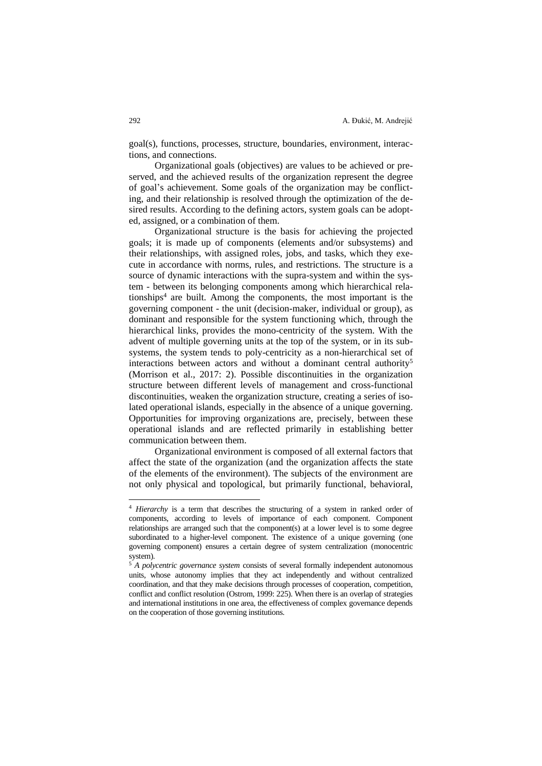goal(s), functions, processes, structure, boundaries, environment, interactions, and connections.

Organizational goals (objectives) are values to be achieved or preserved, and the achieved results of the organization represent the degree of goal's achievement. Some goals of the organization may be conflicting, and their relationship is resolved through the optimization of the desired results. According to the defining actors, system goals can be adopted, assigned, or a combination of them.

Organizational structure is the basis for achieving the projected goals; it is made up of components (elements and/or subsystems) and their relationships, with assigned roles, jobs, and tasks, which they execute in accordance with norms, rules, and restrictions. The structure is a source of dynamic interactions with the supra-system and within the system - between its belonging components among which hierarchical relationships<sup>4</sup> are built. Among the components, the most important is the governing component - the unit (decision-maker, individual or group), as dominant and responsible for the system functioning which, through the hierarchical links, provides the mono-centricity of the system. With the advent of multiple governing units at the top of the system, or in its subsystems, the system tends to poly-centricity as a non-hierarchical set of interactions between actors and without a dominant central authority<sup>5</sup> (Morrison et al., 2017: 2). Possible discontinuities in the organization structure between different levels of management and cross-functional discontinuities, weaken the organization structure, creating a series of isolated operational islands, especially in the absence of a unique governing. Opportunities for improving organizations are, precisely, between these operational islands and are reflected primarily in establishing better communication between them.

Organizational environment is composed of all external factors that affect the state of the organization (and the organization affects the state of the elements of the environment). The subjects of the environment are not only physical and topological, but primarily functional, behavioral,

<sup>4</sup> *Hierarchy* is a term that describes the structuring of a system in ranked order of components, according to levels of importance of each component. Component relationships are arranged such that the component(s) at a lower level is to some degree subordinated to a higher-level component. The existence of a unique governing (one governing component) ensures a certain degree of system centralization (monocentric system).

<sup>5</sup> *A polycentric governance system* consists of several formally independent autonomous units, whose autonomy implies that they act independently and without centralized coordination, and that they make decisions through processes of cooperation, competition, conflict and conflict resolution (Ostrom, 1999: 225). When there is an overlap of strategies and international institutions in one area, the effectiveness of complex governance depends on the cooperation of those governing institutions.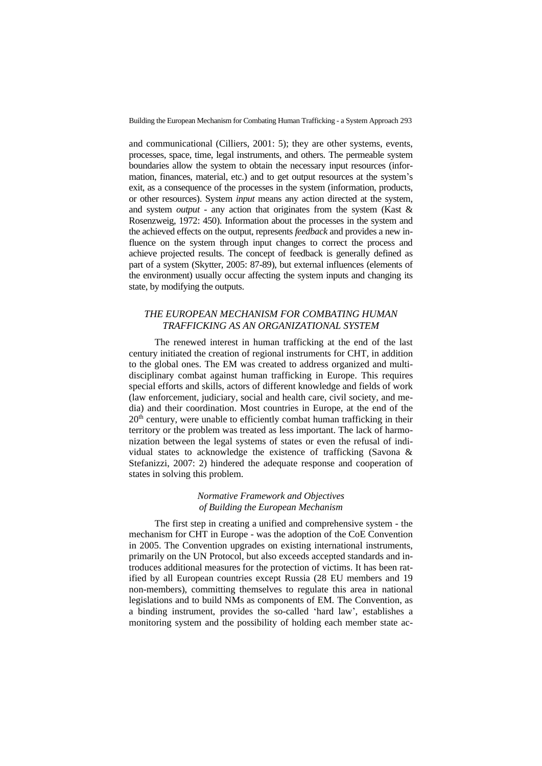and communicational (Cilliers, 2001: 5); they are other systems, events, processes, space, time, legal instruments, and others. The permeable system boundaries allow the system to obtain the necessary input resources (information, finances, material, etc.) and to get output resources at the system's exit, as a consequence of the processes in the system (information, products, or other resources). System *input* means any action directed at the system, and system *output* - any action that originates from the system (Kast & Rosenzweig, 1972: 450). Information about the processes in the system and the achieved effects on the output, represents *feedback* and provides a new influence on the system through input changes to correct the process and achieve projected results. The concept of feedback is generally defined as part of a system (Skytter, 2005: 87-89), but external influences (elements of the environment) usually occur affecting the system inputs and changing its state, by modifying the outputs.

## *THE EUROPEAN MECHANISM FOR COMBATING HUMAN TRAFFICKING AS AN ORGANIZATIONAL SYSTEM*

The renewed interest in human trafficking at the end of the last century initiated the creation of regional instruments for CHT, in addition to the global ones. The EM was created to address organized and multidisciplinary combat against human trafficking in Europe. This requires special efforts and skills, actors of different knowledge and fields of work (law enforcement, judiciary, social and health care, civil society, and media) and their coordination. Most countries in Europe, at the end of the 20<sup>th</sup> century, were unable to efficiently combat human trafficking in their territory or the problem was treated as less important. The lack of harmonization between the legal systems of states or even the refusal of individual states to acknowledge the existence of trafficking (Savona & Stefanizzi, 2007: 2) hindered the adequate response and cooperation of states in solving this problem.

## *Normative Framework and Objectives of Building the European Mechanism*

The first step in creating a unified and comprehensive system - the mechanism for CHT in Europe - was the adoption of the CoE Convention in 2005. The Convention upgrades on existing international instruments, primarily on the UN Protocol, but also exceeds accepted standards and introduces additional measures for the protection of victims. It has been ratified by all European countries except Russia (28 EU members and 19 non-members), committing themselves to regulate this area in national legislations and to build NMs as components of EM. The Convention, as a binding instrument, provides the so-called 'hard law', establishes a monitoring system and the possibility of holding each member state ac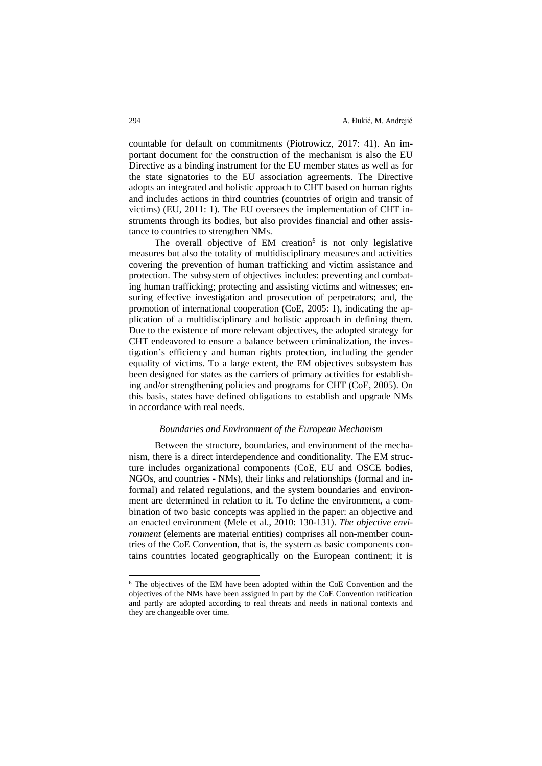countable for default on commitments (Piotrowicz, 2017: 41). An important document for the construction of the mechanism is also the EU Directive as a binding instrument for the EU member states as well as for the state signatories to the EU association agreements. The Directive adopts an integrated and holistic approach to CHT based on human rights and includes actions in third countries (countries of origin and transit of victims) (EU, 2011: 1). The EU oversees the implementation of CHT instruments through its bodies, but also provides financial and other assistance to countries to strengthen NMs.

The overall objective of EM creation $6$  is not only legislative measures but also the totality of multidisciplinary measures and activities covering the prevention of human trafficking and victim assistance and protection. The subsystem of objectives includes: preventing and combating human trafficking; protecting and assisting victims and witnesses; ensuring effective investigation and prosecution of perpetrators; and, the promotion of international cooperation (CoE, 2005: 1), indicating the application of a multidisciplinary and holistic approach in defining them. Due to the existence of more relevant objectives, the adopted strategy for CHT endeavored to ensure a balance between criminalization, the investigation's efficiency and human rights protection, including the gender equality of victims. To a large extent, the EM objectives subsystem has been designed for states as the carriers of primary activities for establishing and/or strengthening policies and programs for CHT (CoE, 2005). On this basis, states have defined obligations to establish and upgrade NMs in accordance with real needs.

#### *Boundaries and Environment of the European Mechanism*

Between the structure, boundaries, and environment of the mechanism, there is a direct interdependence and conditionality. The EM structure includes organizational components (CoE, EU and OSCE bodies, NGOs, and countries - NMs), their links and relationships (formal and informal) and related regulations, and the system boundaries and environment are determined in relation to it. To define the environment, a combination of two basic concepts was applied in the paper: an objective and an enacted environment (Mele et al., 2010: 130-131). *The objective environment* (elements are material entities) comprises all non-member countries of the CoE Convention, that is, the system as basic components contains countries located geographically on the European continent; it is

<sup>6</sup> The objectives of the EM have been adopted within the CoE Convention and the objectives of the NMs have been assigned in part by the CoE Convention ratification and partly are adopted according to real threats and needs in national contexts and they are changeable over time.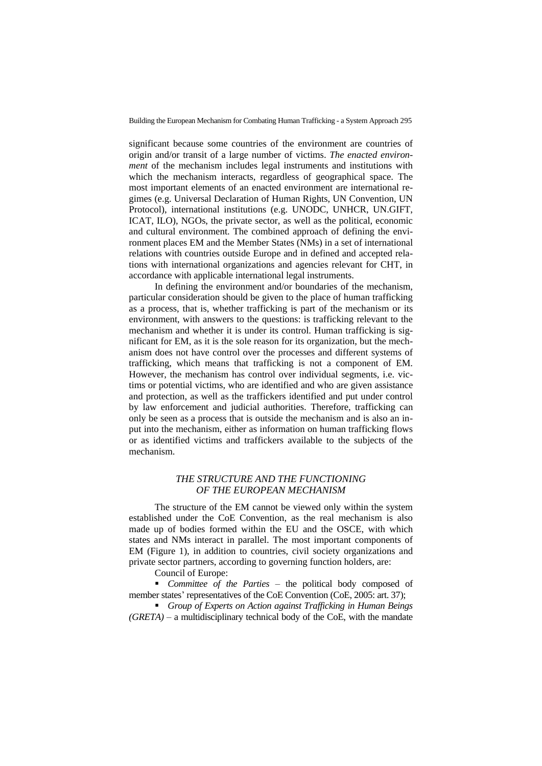significant because some countries of the environment are countries of origin and/or transit of a large number of victims. *The enacted environment* of the mechanism includes legal instruments and institutions with which the mechanism interacts, regardless of geographical space. The most important elements of an enacted environment are international regimes (e.g. Universal Declaration of Human Rights, UN Convention, UN Protocol), international institutions (e.g. UNODC, UNHCR, UN.GIFT, ICAT, ILO), NGOs, the private sector, as well as the political, economic and cultural environment. The combined approach of defining the environment places EM and the Member States (NMs) in a set of international relations with countries outside Europe and in defined and accepted relations with international organizations and agencies relevant for CHT, in accordance with applicable international legal instruments.

In defining the environment and/or boundaries of the mechanism, particular consideration should be given to the place of human trafficking as a process, that is, whether trafficking is part of the mechanism or its environment, with answers to the questions: is trafficking relevant to the mechanism and whether it is under its control. Human trafficking is significant for EM, as it is the sole reason for its organization, but the mechanism does not have control over the processes and different systems of trafficking, which means that trafficking is not a component of EM. However, the mechanism has control over individual segments, i.e. victims or potential victims, who are identified and who are given assistance and protection, as well as the traffickers identified and put under control by law enforcement and judicial authorities. Therefore, trafficking can only be seen as a process that is outside the mechanism and is also an input into the mechanism, either as information on human trafficking flows or as identified victims and traffickers available to the subjects of the mechanism.

## *THE STRUCTURE AND THE FUNCTIONING OF THE EUROPEAN MECHANISM*

The structure of the EM cannot be viewed only within the system established under the CoE Convention, as the real mechanism is also made up of bodies formed within the EU and the OSCE, with which states and NMs interact in parallel. The most important components of EM (Figure 1), in addition to countries, civil society organizations and private sector partners, according to governing function holders, are:

Council of Europe:

▪ *Committee of the Parties* – the political body composed of member states' representatives of the CoE Convention (CoE, 2005: art. 37);

▪ *Group of Experts on Action against Trafficking in Human Beings (GRETA)* – a multidisciplinary technical body of the CoE, with the mandate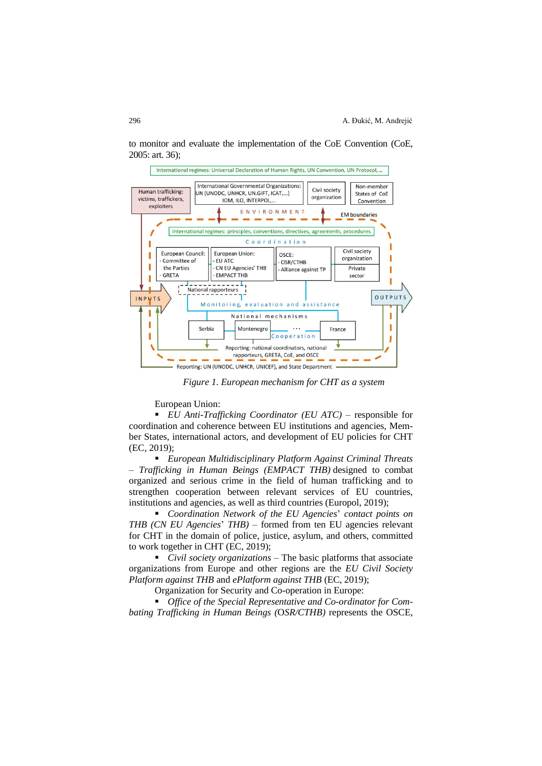

to monitor and evaluate the implementation of the CoE Convention (CoE, 2005: art. 36);

*Figure 1. European mechanism for CHT as a system*

European Union:

■ *EU Anti-Trafficking Coordinator (EU ATC)* – responsible for coordination and coherence between EU institutions and agencies, Member States, international actors, and development of EU policies for CHT (EC, 2019);

▪ *European Multidisciplinary Platform Against Criminal Threats – Trafficking in Human Beings (EMPACT THB)* designed to combat organized and serious crime in the field of human trafficking and to strengthen cooperation between relevant services of EU countries, institutions and agencies, as well as third countries (Europol, 2019);

▪ *Coordination Network of the EU Agencies*' *contact points on THB (CN EU Agencies*' *THB)* – formed from ten EU agencies relevant for CHT in the domain of police, justice, asylum, and others, committed to work together in CHT (EC, 2019);

■ *Civil society organizations* – The basic platforms that associate organizations from Europe and other regions are the *EU Civil Society Platform against THB* and *ePlatform against THB* (EC, 2019);

Organization for Security and Co-operation in Europe:

■ *Office of the Special Representative and Co-ordinator for Combating Trafficking in Human Beings (*O*SR/CTHB)* represents the OSCE,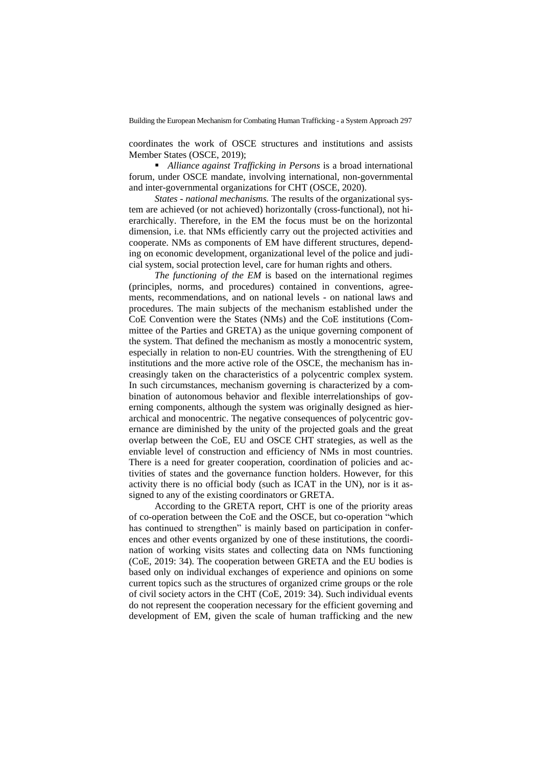coordinates the work of OSCE structures and institutions and assists Member States (OSCE, 2019);

■ *Alliance against Trafficking in Persons* is a broad international forum, under OSCE mandate, involving international, non-governmental and inter-governmental organizations for CHT (OSCE, 2020).

*States - national mechanisms.* The results of the organizational system are achieved (or not achieved) horizontally (cross-functional), not hierarchically. Therefore, in the EM the focus must be on the horizontal dimension, i.e. that NMs efficiently carry out the projected activities and cooperate. NMs as components of EM have different structures, depending on economic development, organizational level of the police and judicial system, social protection level, care for human rights and others.

*The functioning of the EM* is based on the international regimes (principles, norms, and procedures) contained in conventions, agreements, recommendations, and on national levels - on national laws and procedures. The main subjects of the mechanism established under the CoE Convention were the States (NMs) and the CoE institutions (Committee of the Parties and GRETA) as the unique governing component of the system. That defined the mechanism as mostly a monocentric system, especially in relation to non-EU countries. With the strengthening of EU institutions and the more active role of the OSCE, the mechanism has increasingly taken on the characteristics of a polycentric complex system. In such circumstances, mechanism governing is characterized by a combination of autonomous behavior and flexible interrelationships of governing components, although the system was originally designed as hierarchical and monocentric. The negative consequences of polycentric governance are diminished by the unity of the projected goals and the great overlap between the CoE, EU and OSCE CHT strategies, as well as the enviable level of construction and efficiency of NMs in most countries. There is a need for greater cooperation, coordination of policies and activities of states and the governance function holders. However, for this activity there is no official body (such as ICAT in the UN), nor is it assigned to any of the existing coordinators or GRETA.

According to the GRETA report, CHT is one of the priority areas of co-operation between the CoE and the OSCE, but co-operation "which has continued to strengthen" is mainly based on participation in conferences and other events organized by one of these institutions, the coordination of working visits states and collecting data on NMs functioning (CoE, 2019: 34). The cooperation between GRETA and the EU bodies is based only on individual exchanges of experience and opinions on some current topics such as the structures of organized crime groups or the role of civil society actors in the CHT (CoE, 2019: 34). Such individual events do not represent the cooperation necessary for the efficient governing and development of EM, given the scale of human trafficking and the new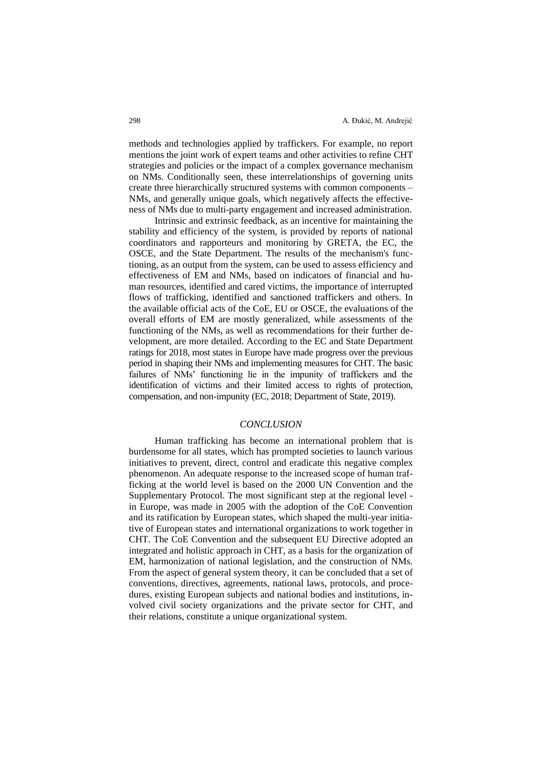methods and technologies applied by traffickers. For example, no report mentions the joint work of expert teams and other activities to refine CHT strategies and policies or the impact of a complex governance mechanism on NMs. Conditionally seen, these interrelationships of governing units create three hierarchically structured systems with common components – NMs, and generally unique goals, which negatively affects the effectiveness of NMs due to multi-party engagement and increased administration.

Intrinsic and extrinsic feedback, as an incentive for maintaining the stability and efficiency of the system, is provided by reports of national coordinators and rapporteurs and monitoring by GRETA, the EC, the OSCE, and the State Department. The results of the mechanism's functioning, as an output from the system, can be used to assess efficiency and effectiveness of EM and NMs, based on indicators of financial and human resources, identified and cared victims, the importance of interrupted flows of trafficking, identified and sanctioned traffickers and others. In the available official acts of the CoE, EU or OSCE, the evaluations of the overall efforts of EM are mostly generalized, while assessments of the functioning of the NMs, as well as recommendations for their further development, are more detailed. According to the EC and State Department ratings for 2018, most states in Europe have made progress over the previous period in shaping their NMs and implementing measures for CHT. The basic failures of NMs' functioning lie in the impunity of traffickers and the identification of victims and their limited access to rights of protection, compensation, and non-impunity (EC, 2018; Department of State, 2019).

## *CONCLUSION*

Human trafficking has become an international problem that is burdensome for all states, which has prompted societies to launch various initiatives to prevent, direct, control and eradicate this negative complex phenomenon. An adequate response to the increased scope of human trafficking at the world level is based on the 2000 UN Convention and the Supplementary Protocol. The most significant step at the regional level in Europe, was made in 2005 with the adoption of the CoE Convention and its ratification by European states, which shaped the multi-year initiative of European states and international organizations to work together in CHT. The CoE Convention and the subsequent EU Directive adopted an integrated and holistic approach in CHT, as a basis for the organization of EM, harmonization of national legislation, and the construction of NMs. From the aspect of general system theory, it can be concluded that a set of conventions, directives, agreements, national laws, protocols, and procedures, existing European subjects and national bodies and institutions, involved civil society organizations and the private sector for CHT, and their relations, constitute a unique organizational system.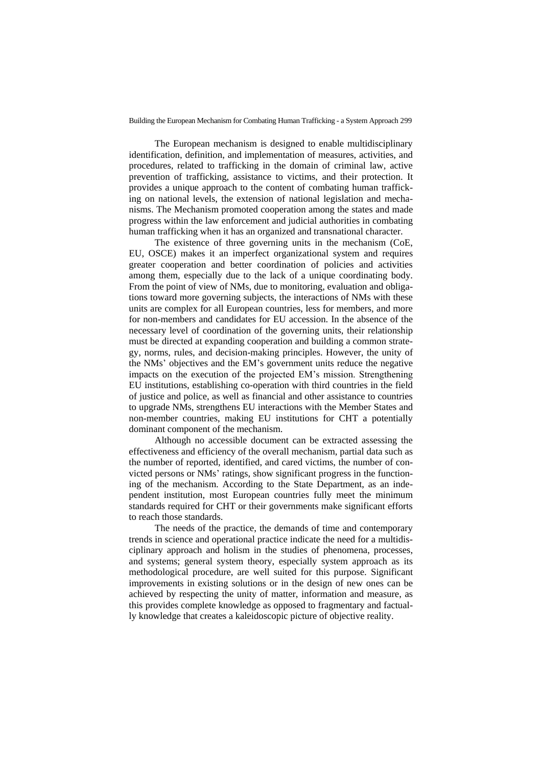The European mechanism is designed to enable multidisciplinary identification, definition, and implementation of measures, activities, and procedures, related to trafficking in the domain of criminal law, active prevention of trafficking, assistance to victims, and their protection. It provides a unique approach to the content of combating human trafficking on national levels, the extension of national legislation and mechanisms. The Mechanism promoted cooperation among the states and made progress within the law enforcement and judicial authorities in combating human trafficking when it has an organized and transnational character.

The existence of three governing units in the mechanism (CoE, EU, OSCE) makes it an imperfect organizational system and requires greater cooperation and better coordination of policies and activities among them, especially due to the lack of a unique coordinating body. From the point of view of NMs, due to monitoring, evaluation and obligations toward more governing subjects, the interactions of NMs with these units are complex for all European countries, less for members, and more for non-members and candidates for EU accession. In the absence of the necessary level of coordination of the governing units, their relationship must be directed at expanding cooperation and building a common strategy, norms, rules, and decision-making principles. However, the unity of the NMs' objectives and the EM's government units reduce the negative impacts on the execution of the projected EM's mission. Strengthening EU institutions, establishing co-operation with third countries in the field of justice and police, as well as financial and other assistance to countries to upgrade NMs, strengthens EU interactions with the Member States and non-member countries, making EU institutions for CHT a potentially dominant component of the mechanism.

Although no accessible document can be extracted assessing the effectiveness and efficiency of the overall mechanism, partial data such as the number of reported, identified, and cared victims, the number of convicted persons or NMs' ratings, show significant progress in the functioning of the mechanism. According to the State Department, as an independent institution, most European countries fully meet the minimum standards required for CHT or their governments make significant efforts to reach those standards.

The needs of the practice, the demands of time and contemporary trends in science and operational practice indicate the need for a multidisciplinary approach and holism in the studies of phenomena, processes, and systems; general system theory, especially system approach as its methodological procedure, are well suited for this purpose. Significant improvements in existing solutions or in the design of new ones can be achieved by respecting the unity of matter, information and measure, as this provides complete knowledge as opposed to fragmentary and factually knowledge that creates a kaleidoscopic picture of objective reality.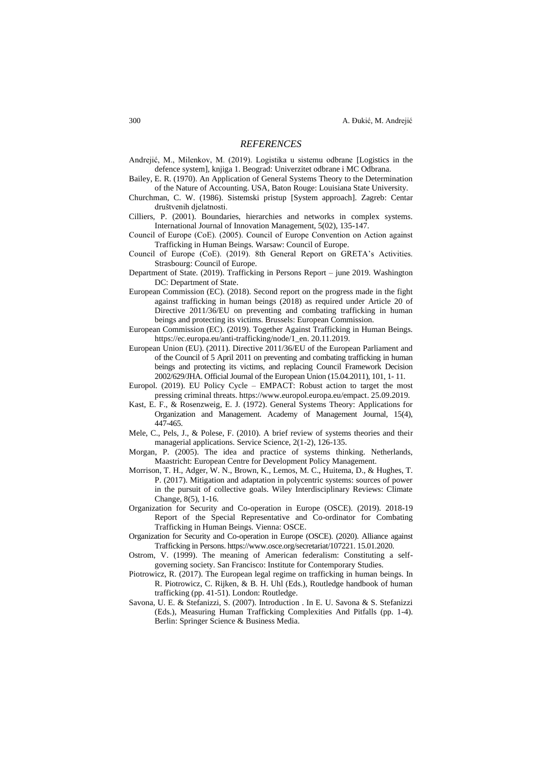### *REFERENCES*

- Andrejić, M., Milenkov, M. (2019). Logistika u sistemu odbrane [Logistics in the defence system], knjiga 1. Beograd: Univerzitet odbrane i MC Odbrana.
- Bailey, E. R. (1970). An Application of General Systems Theory to the Determination of the Nature of Accounting. USA, Baton Rouge: Louisiana State University.
- Churchman, C. W. (1986). Sistemski pristup [System approach]. Zagreb: Centar društvenih djelatnosti.
- Cilliers, P. (2001). Boundaries, hierarchies and networks in complex systems. International Journal of Innovation Management, 5(02), 135-147.
- Council of Europe (CоE). (2005). Council of Europe Convention on Action against Trafficking in Human Beings. Warsaw: Council of Europe.
- Council of Europe (CоE). (2019). 8th General Report on GRETA's Activities. Strasbourg: Council of Europe.
- Department of State. (2019). Trafficking in Persons Report june 2019. Washington DC: Department of State.
- European Commission (EC). (2018). Second report on the progress made in the fight against trafficking in human beings (2018) as required under Article 20 of Directive 2011/36/EU on preventing and combating trafficking in human beings and protecting its victims. Brussels: European Commission.
- European Commission (EC). (2019). Together Against Trafficking in Human Beings. https://ec.europa.eu/anti-trafficking/node/1\_en. 20.11.2019.
- European Union (EU). (2011). Directive 2011/36/EU of the European Parliament and of the Council of 5 April 2011 on preventing and combating trafficking in human beings and protecting its victims, and replacing Council Framework Decision 2002/629/JHA. Official Journal of the European Union (15.04.2011), 101, 1- 11.
- Europol. (2019). EU Policy Cycle EMPACT: Robust action to target the most pressing criminal threats. https://www.europol.europa.eu/empact. 25.09.2019.
- Kast, E. F., & Rosenzweig, E. J. (1972). General Systems Theory: Applications for Organization and Management. Academy of Management Journal, 15(4), 447-465.
- Mele, C., Pels, J., & Polese, F. (2010). A brief review of systems theories and their managerial applications. Service Science, 2(1-2), 126-135.
- Morgan, P. (2005). The idea and practice of systems thinking. Netherlands, Maastricht: European Centre for Development Policy Management.
- Morrison, T. H., Adger, W. N., Brown, K., Lemos, M. C., Huitema, D., & Hughes, T. P. (2017). Mitigation and adaptation in polycentric systems: sources of power in the pursuit of collective goals. Wiley Interdisciplinary Reviews: Climate Change, 8(5), 1-16.
- Organization for Security and Co-operation in Europe (OSCE). (2019). 2018-19 Report of the Special Representative and Co-ordinator for Combating Trafficking in Human Beings. Vienna: OSCE.
- Organization for Security and Co-operation in Europe (OSCE). (2020). Alliance against Trafficking in Persons. https://www.osce.org/secretariat/107221. 15.01.2020.
- Ostrom, V. (1999). The meaning of American federalism: Constituting a selfgoverning society. San Francisco: Institute for Contemporary Studies.
- Piotrowicz, R. (2017). The European legal regime on trafficking in human beings. In R. Piotrowicz, C. Rijken, & B. H. Uhl (Eds.), Routledge handbook of human trafficking (pp. 41-51). London: Routledge.
- Savona, U. E. & Stefanizzi, S. (2007). Introduction . In E. U. Savona & S. Stefanizzi (Eds.), Measuring Human Trafficking Complexities And Pitfalls (pp. 1-4). Berlin: Springer Science & Business Media.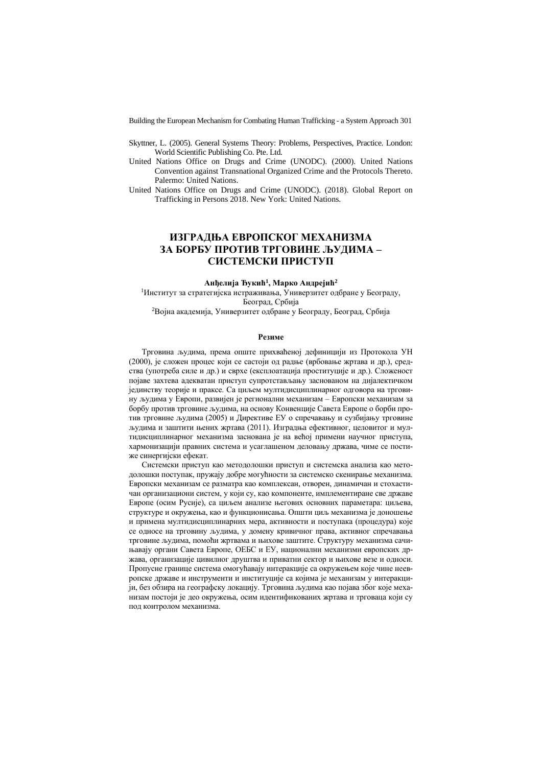- Skyttner, L. (2005). General Systems Theory: Problems, Perspectives, Practice. London: World Scientific Publishing Co. Pte. Ltd.
- United Nations Office on Drugs and Crime (UNODC). (2000). United Nations Convention against Transnational Organized Crime and the Protocols Thereto. Palermo: United Nations.
- United Nations Office on Drugs and Crime (UNODC). (2018). Global Report on Trafficking in Persons 2018. New York: United Nations.

## **ИЗГРАДЊА ЕВРОПСКОГ МЕХАНИЗМА ЗА БОРБУ ПРОТИВ ТРГОВИНЕ ЉУДИМА – СИСТЕМСКИ ПРИСТУП**

#### **Анђелија Ђукић<sup>1</sup> , Марко Андрејић<sup>2</sup>**

<sup>1</sup>Институт за стратегијска истраживања, Универзитет одбране у Београду, Београд, Србија

<sup>2</sup>Војна академија, Универзитет одбране у Београду, Београд, Србија

### **Резиме**

Трговина људима, према опште прихваћеној дефиницији из Протокола УН (2000), је сложен процес који се састоји од радње (врбовање жртава и др.), средства (употреба силе и др.) и сврхе (експлоатација проституције и др.). Сложеност појаве захтева адекватан приступ супротстављању заснованом на дијалектичком јединству теорије и праксе. Са циљем мултидисциплинарног одговора на трговину људима у Европи, развијен је регионални механизам – Европски механизам за борбу против трговине људима, на основу Конвенције Савета Европе о борби против трговине људима (2005) и Директиве ЕУ о спречавању и сузбијању трговине људима и заштити њених жртава (2011). Изградња ефективног, целовитог и мултидисциплинарног механизма заснована је на већој примени научног приступа, хармонизацији правних система и усаглашеном деловању држава, чиме се постиже синергијски ефекат.

Системски приступ као методолошки приступ и системска анализа као методолошки поступак, пружају добре могућности за системско скенирање механизма. Европски механизам се разматра као комплексан, отворен, динамичан и стохастичан организациони систем, у који су, као компоненте, имплементиране све државе Европе (осим Русије), са циљем анализе његових основних параметара: циљева, структуре и окружења, као и функционисања. Општи циљ механизма је доношење и примена мултидисциплинарних мера, активности и поступака (процедура) које се односе на трговину људима, у домену кривичног права, активног спречавања трговине људима, помоћи жртвама и њихове заштите. Структуру механизма сачињавају органи Савета Европе, ОЕБС и ЕУ, национални механизми европских држава, организације цивилног друштва и приватни сектор и њихове везе и односи. Пропусне границе система омогућавају интеракције са окружењем које чине неевропске државе и инструменти и институције са којима је механизам у интеракцији, без обзира на географску локацију. Трговина људима као појава због које механизам постоји је део окружења, осим идентификованих жртава и трговаца који су под контролом механизма.